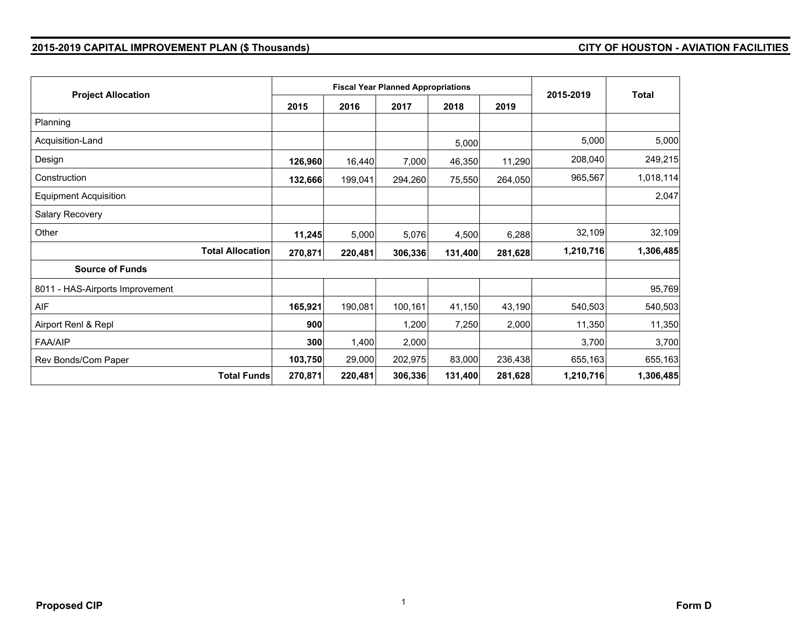|                                 |         |         | <b>Fiscal Year Planned Appropriations</b> |         |         | 2015-2019 | <b>Total</b> |
|---------------------------------|---------|---------|-------------------------------------------|---------|---------|-----------|--------------|
| <b>Project Allocation</b>       | 2015    | 2016    | 2017                                      | 2018    | 2019    |           |              |
| Planning                        |         |         |                                           |         |         |           |              |
| Acquisition-Land                |         |         |                                           | 5,000   |         | 5,000     | 5,000        |
| Design                          | 126,960 | 16,440  | 7,000                                     | 46,350  | 11,290  | 208,040   | 249,215      |
| Construction                    | 132,666 | 199,041 | 294,260                                   | 75,550  | 264,050 | 965,567   | 1,018,114    |
| <b>Equipment Acquisition</b>    |         |         |                                           |         |         |           | 2,047        |
| Salary Recovery                 |         |         |                                           |         |         |           |              |
| Other                           | 11,245  | 5,000   | 5,076                                     | 4,500   | 6,288   | 32,109    | 32,109       |
| <b>Total Allocation</b>         | 270,871 | 220,481 | 306,336                                   | 131,400 | 281,628 | 1,210,716 | 1,306,485    |
| <b>Source of Funds</b>          |         |         |                                           |         |         |           |              |
| 8011 - HAS-Airports Improvement |         |         |                                           |         |         |           | 95,769       |
| AIF                             | 165,921 | 190,081 | 100,161                                   | 41,150  | 43,190  | 540,503   | 540,503      |
| Airport Renl & Repl             | 900     |         | 1,200                                     | 7,250   | 2,000   | 11,350    | 11,350       |
| <b>FAA/AIP</b>                  | 300     | 1,400   | 2,000                                     |         |         | 3,700     | 3,700        |
| Rev Bonds/Com Paper             | 103,750 | 29,000  | 202,975                                   | 83,000  | 236,438 | 655,163   | 655,163      |
| <b>Total Funds</b>              | 270,871 | 220,481 | 306,336                                   | 131,400 | 281,628 | 1,210,716 | 1,306,485    |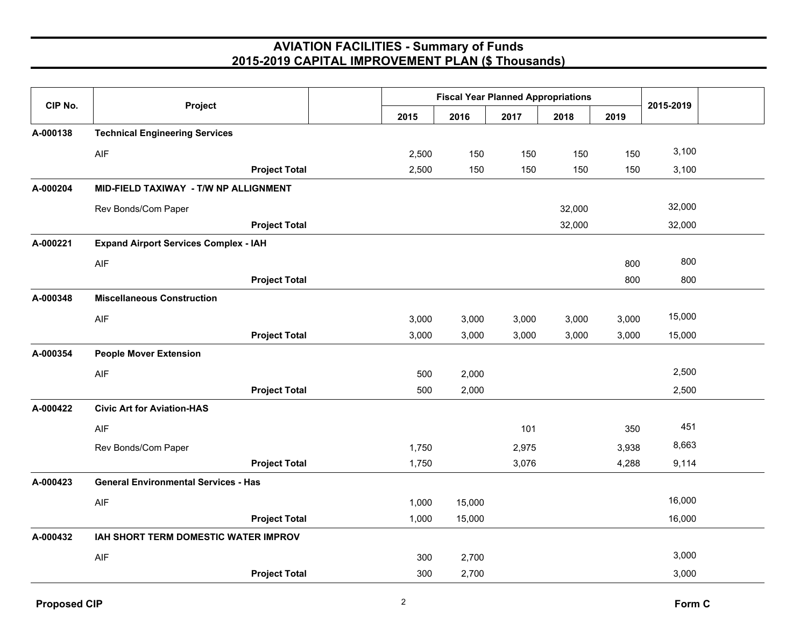| CIP No.  | Project                                      | <b>Fiscal Year Planned Appropriations</b> |        |       |        |       | 2015-2019 |  |
|----------|----------------------------------------------|-------------------------------------------|--------|-------|--------|-------|-----------|--|
|          |                                              | 2015                                      | 2016   | 2017  | 2018   | 2019  |           |  |
| A-000138 | <b>Technical Engineering Services</b>        |                                           |        |       |        |       |           |  |
|          | AIF                                          | 2,500                                     | 150    | 150   | 150    | 150   | 3,100     |  |
|          | <b>Project Total</b>                         | 2,500                                     | 150    | 150   | 150    | 150   | 3,100     |  |
| A-000204 | MID-FIELD TAXIWAY - T/W NP ALLIGNMENT        |                                           |        |       |        |       |           |  |
|          | Rev Bonds/Com Paper                          |                                           |        |       | 32,000 |       | 32,000    |  |
|          | <b>Project Total</b>                         |                                           |        |       | 32,000 |       | 32,000    |  |
| A-000221 | <b>Expand Airport Services Complex - IAH</b> |                                           |        |       |        |       |           |  |
|          | AIF                                          |                                           |        |       |        | 800   | 800       |  |
|          | <b>Project Total</b>                         |                                           |        |       |        | 800   | 800       |  |
| A-000348 | <b>Miscellaneous Construction</b>            |                                           |        |       |        |       |           |  |
|          | AIF                                          | 3,000                                     | 3,000  | 3,000 | 3,000  | 3,000 | 15,000    |  |
|          | <b>Project Total</b>                         | 3,000                                     | 3,000  | 3,000 | 3,000  | 3,000 | 15,000    |  |
| A-000354 | <b>People Mover Extension</b>                |                                           |        |       |        |       |           |  |
|          | AIF                                          | 500                                       | 2,000  |       |        |       | 2,500     |  |
|          | <b>Project Total</b>                         | 500                                       | 2,000  |       |        |       | 2,500     |  |
| A-000422 | <b>Civic Art for Aviation-HAS</b>            |                                           |        |       |        |       |           |  |
|          | AIF                                          |                                           |        | 101   |        | 350   | 451       |  |
|          | Rev Bonds/Com Paper                          | 1,750                                     |        | 2,975 |        | 3,938 | 8,663     |  |
|          | <b>Project Total</b>                         | 1,750                                     |        | 3,076 |        | 4,288 | 9,114     |  |
| A-000423 | <b>General Environmental Services - Has</b>  |                                           |        |       |        |       |           |  |
|          | AIF                                          | 1,000                                     | 15,000 |       |        |       | 16,000    |  |
|          | <b>Project Total</b>                         | 1,000                                     | 15,000 |       |        |       | 16,000    |  |
| A-000432 | IAH SHORT TERM DOMESTIC WATER IMPROV         |                                           |        |       |        |       |           |  |
|          | <b>AIF</b>                                   | 300                                       | 2,700  |       |        |       | 3,000     |  |
|          | <b>Project Total</b>                         | 300                                       | 2,700  |       |        |       | 3,000     |  |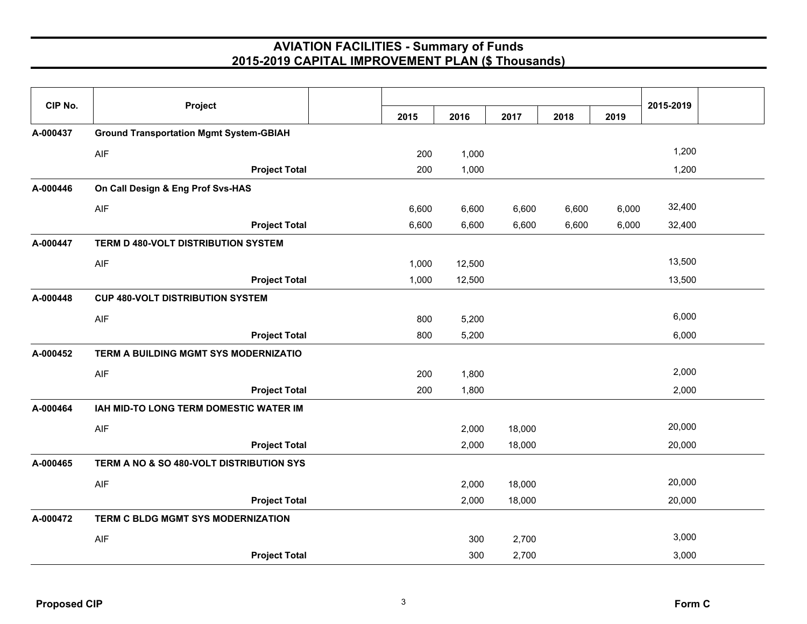| CIP No.  | Project                                        |       |        |        |       |       | 2015-2019 |  |
|----------|------------------------------------------------|-------|--------|--------|-------|-------|-----------|--|
|          |                                                | 2015  | 2016   | 2017   | 2018  | 2019  |           |  |
| A-000437 | <b>Ground Transportation Mgmt System-GBIAH</b> |       |        |        |       |       |           |  |
|          | AIF                                            | 200   | 1,000  |        |       |       | 1,200     |  |
|          | <b>Project Total</b>                           | 200   | 1,000  |        |       |       | 1,200     |  |
| A-000446 | On Call Design & Eng Prof Svs-HAS              |       |        |        |       |       |           |  |
|          | <b>AIF</b>                                     | 6,600 | 6,600  | 6,600  | 6,600 | 6,000 | 32,400    |  |
|          | <b>Project Total</b>                           | 6,600 | 6,600  | 6,600  | 6,600 | 6,000 | 32,400    |  |
| A-000447 | TERM D 480-VOLT DISTRIBUTION SYSTEM            |       |        |        |       |       |           |  |
|          | AIF                                            | 1,000 | 12,500 |        |       |       | 13,500    |  |
|          | <b>Project Total</b>                           | 1,000 | 12,500 |        |       |       | 13,500    |  |
| A-000448 | <b>CUP 480-VOLT DISTRIBUTION SYSTEM</b>        |       |        |        |       |       |           |  |
|          | AIF                                            | 800   | 5,200  |        |       |       | 6,000     |  |
|          | <b>Project Total</b>                           | 800   | 5,200  |        |       |       | 6,000     |  |
| A-000452 | TERM A BUILDING MGMT SYS MODERNIZATIO          |       |        |        |       |       |           |  |
|          | AIF                                            | 200   | 1,800  |        |       |       | 2,000     |  |
|          | <b>Project Total</b>                           | 200   | 1,800  |        |       |       | 2,000     |  |
| A-000464 | IAH MID-TO LONG TERM DOMESTIC WATER IM         |       |        |        |       |       |           |  |
|          | AIF                                            |       | 2,000  | 18,000 |       |       | 20,000    |  |
|          | <b>Project Total</b>                           |       | 2,000  | 18,000 |       |       | 20,000    |  |
| A-000465 | TERM A NO & SO 480-VOLT DISTRIBUTION SYS       |       |        |        |       |       |           |  |
|          | AIF                                            |       | 2,000  | 18,000 |       |       | 20,000    |  |
|          | <b>Project Total</b>                           |       | 2,000  | 18,000 |       |       | 20,000    |  |
| A-000472 | TERM C BLDG MGMT SYS MODERNIZATION             |       |        |        |       |       |           |  |
|          | AIF                                            |       | 300    | 2,700  |       |       | 3,000     |  |
|          | <b>Project Total</b>                           |       | 300    | 2,700  |       |       | 3,000     |  |
|          |                                                |       |        |        |       |       |           |  |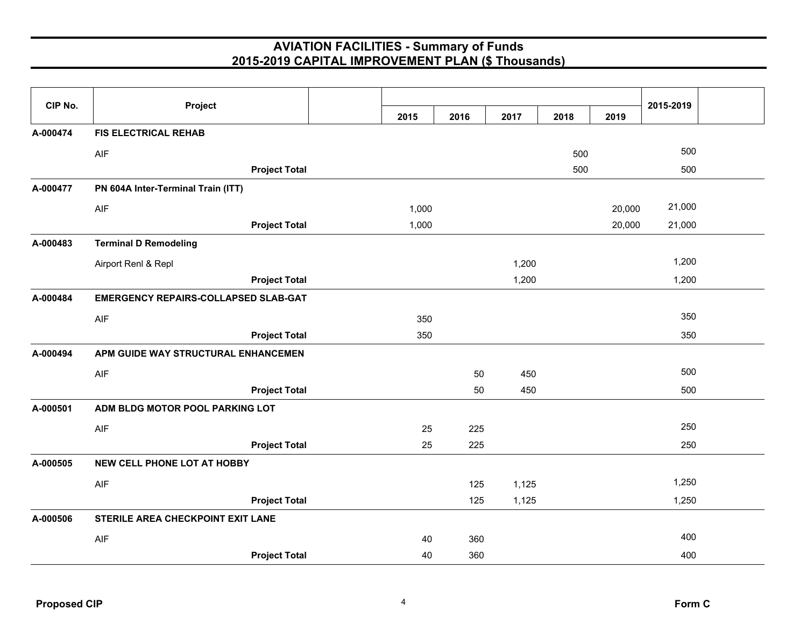| CIP No.  | Project                                     |       |      |       |      |        | 2015-2019 |  |
|----------|---------------------------------------------|-------|------|-------|------|--------|-----------|--|
|          |                                             | 2015  | 2016 | 2017  | 2018 | 2019   |           |  |
| A-000474 | <b>FIS ELECTRICAL REHAB</b>                 |       |      |       |      |        |           |  |
|          | AIF                                         |       |      |       | 500  |        | 500       |  |
|          | <b>Project Total</b>                        |       |      |       | 500  |        | 500       |  |
| A-000477 | PN 604A Inter-Terminal Train (ITT)          |       |      |       |      |        |           |  |
|          | AIF                                         | 1,000 |      |       |      | 20,000 | 21,000    |  |
|          | <b>Project Total</b>                        | 1,000 |      |       |      | 20,000 | 21,000    |  |
| A-000483 | <b>Terminal D Remodeling</b>                |       |      |       |      |        |           |  |
|          | Airport Renl & Repl                         |       |      | 1,200 |      |        | 1,200     |  |
|          | <b>Project Total</b>                        |       |      | 1,200 |      |        | 1,200     |  |
| A-000484 | <b>EMERGENCY REPAIRS-COLLAPSED SLAB-GAT</b> |       |      |       |      |        |           |  |
|          | AIF                                         | 350   |      |       |      |        | 350       |  |
|          | <b>Project Total</b>                        | 350   |      |       |      |        | 350       |  |
| A-000494 | APM GUIDE WAY STRUCTURAL ENHANCEMEN         |       |      |       |      |        |           |  |
|          | AIF                                         |       | 50   | 450   |      |        | 500       |  |
|          | <b>Project Total</b>                        |       | 50   | 450   |      |        | 500       |  |
| A-000501 | ADM BLDG MOTOR POOL PARKING LOT             |       |      |       |      |        |           |  |
|          | AIF                                         | 25    | 225  |       |      |        | 250       |  |
|          | <b>Project Total</b>                        | 25    | 225  |       |      |        | 250       |  |
| A-000505 | <b>NEW CELL PHONE LOT AT HOBBY</b>          |       |      |       |      |        |           |  |
|          | AIF                                         |       | 125  | 1,125 |      |        | 1,250     |  |
|          | <b>Project Total</b>                        |       | 125  | 1,125 |      |        | 1,250     |  |
| A-000506 | STERILE AREA CHECKPOINT EXIT LANE           |       |      |       |      |        |           |  |
|          | AIF                                         | 40    | 360  |       |      |        | 400       |  |
|          | <b>Project Total</b>                        | 40    | 360  |       |      |        | 400       |  |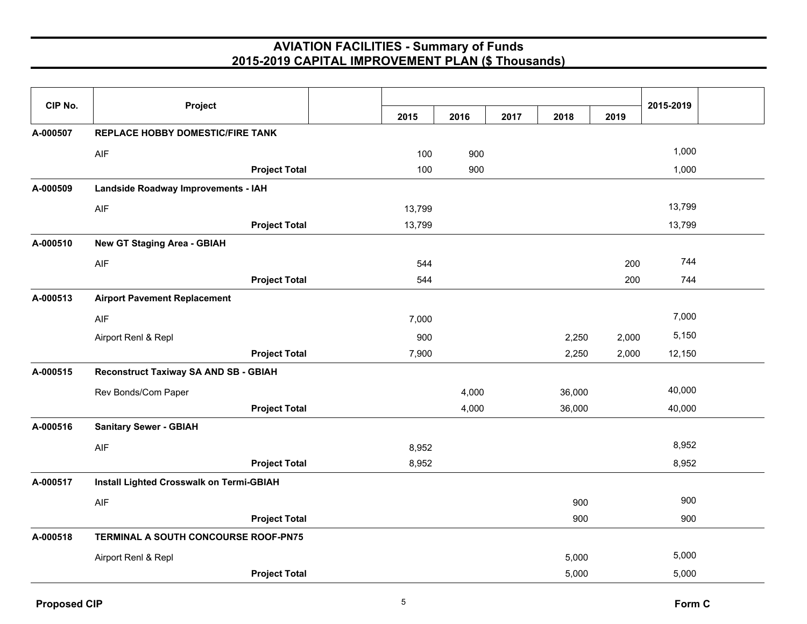| CIP No.  | Project                                  |                      |        |       |      |        |       | 2015-2019 |  |
|----------|------------------------------------------|----------------------|--------|-------|------|--------|-------|-----------|--|
|          |                                          |                      | 2015   | 2016  | 2017 | 2018   | 2019  |           |  |
| A-000507 | <b>REPLACE HOBBY DOMESTIC/FIRE TANK</b>  |                      |        |       |      |        |       |           |  |
|          | AIF                                      |                      | 100    | 900   |      |        |       | 1,000     |  |
|          |                                          | <b>Project Total</b> | 100    | 900   |      |        |       | 1,000     |  |
| A-000509 | Landside Roadway Improvements - IAH      |                      |        |       |      |        |       |           |  |
|          | AIF                                      |                      | 13,799 |       |      |        |       | 13,799    |  |
|          |                                          | <b>Project Total</b> | 13,799 |       |      |        |       | 13,799    |  |
| A-000510 | <b>New GT Staging Area - GBIAH</b>       |                      |        |       |      |        |       |           |  |
|          | <b>AIF</b>                               |                      | 544    |       |      |        | 200   | 744       |  |
|          |                                          | <b>Project Total</b> | 544    |       |      |        | 200   | 744       |  |
| A-000513 | <b>Airport Pavement Replacement</b>      |                      |        |       |      |        |       |           |  |
|          | <b>AIF</b>                               |                      | 7,000  |       |      |        |       | 7,000     |  |
|          | Airport Renl & Repl                      |                      | 900    |       |      | 2,250  | 2,000 | 5,150     |  |
|          |                                          | <b>Project Total</b> | 7,900  |       |      | 2,250  | 2,000 | 12,150    |  |
| A-000515 | Reconstruct Taxiway SA AND SB - GBIAH    |                      |        |       |      |        |       |           |  |
|          | Rev Bonds/Com Paper                      |                      |        | 4,000 |      | 36,000 |       | 40,000    |  |
|          |                                          | <b>Project Total</b> |        | 4,000 |      | 36,000 |       | 40,000    |  |
| A-000516 | <b>Sanitary Sewer - GBIAH</b>            |                      |        |       |      |        |       |           |  |
|          | <b>AIF</b>                               |                      | 8,952  |       |      |        |       | 8,952     |  |
|          |                                          | <b>Project Total</b> | 8,952  |       |      |        |       | 8,952     |  |
| A-000517 | Install Lighted Crosswalk on Termi-GBIAH |                      |        |       |      |        |       |           |  |
|          | <b>AIF</b>                               |                      |        |       |      | 900    |       | 900       |  |
|          |                                          | <b>Project Total</b> |        |       |      | 900    |       | 900       |  |
| A-000518 | TERMINAL A SOUTH CONCOURSE ROOF-PN75     |                      |        |       |      |        |       |           |  |
|          | Airport Renl & Repl                      |                      |        |       |      | 5,000  |       | 5,000     |  |
|          |                                          | <b>Project Total</b> |        |       |      | 5,000  |       | 5,000     |  |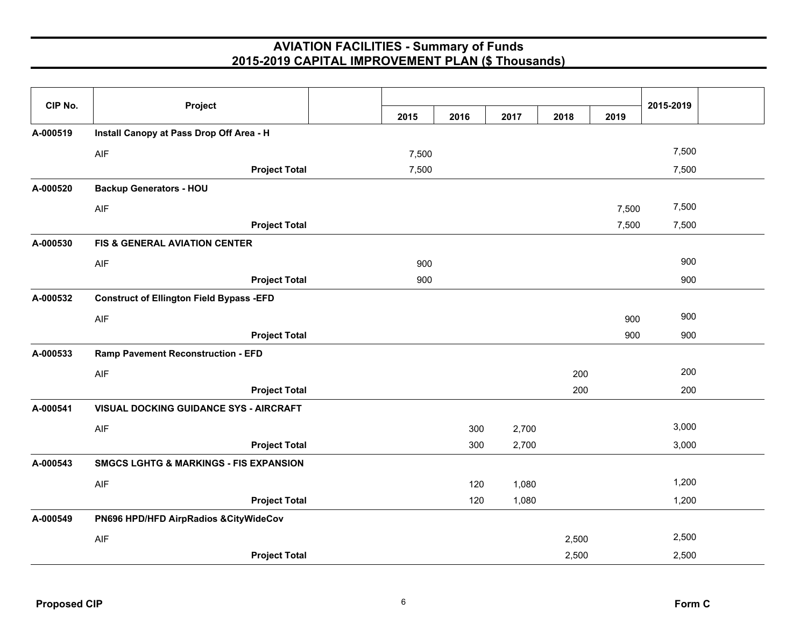|                                                   |         | 2015  | 2016 | 2017  | 2018                     | 2019  |       |           |
|---------------------------------------------------|---------|-------|------|-------|--------------------------|-------|-------|-----------|
| Install Canopy at Pass Drop Off Area - H          |         |       |      |       |                          |       |       |           |
| AIF                                               |         | 7,500 |      |       |                          |       | 7,500 |           |
| <b>Project Total</b>                              |         | 7,500 |      |       |                          |       | 7,500 |           |
| <b>Backup Generators - HOU</b>                    |         |       |      |       |                          |       |       |           |
| AIF                                               |         |       |      |       |                          | 7,500 | 7,500 |           |
| <b>Project Total</b>                              |         |       |      |       |                          | 7,500 | 7,500 |           |
| <b>FIS &amp; GENERAL AVIATION CENTER</b>          |         |       |      |       |                          |       |       |           |
| AIF                                               |         | 900   |      |       |                          |       | 900   |           |
| <b>Project Total</b>                              |         | 900   |      |       |                          |       | 900   |           |
| <b>Construct of Ellington Field Bypass -EFD</b>   |         |       |      |       |                          |       |       |           |
| AIF                                               |         |       |      |       |                          | 900   | 900   |           |
| <b>Project Total</b>                              |         |       |      |       |                          | 900   | 900   |           |
| <b>Ramp Pavement Reconstruction - EFD</b>         |         |       |      |       |                          |       |       |           |
| AIF                                               |         |       |      |       | 200                      |       | 200   |           |
| <b>Project Total</b>                              |         |       |      |       | 200                      |       | 200   |           |
| VISUAL DOCKING GUIDANCE SYS - AIRCRAFT            |         |       |      |       |                          |       |       |           |
| AIF                                               |         |       |      | 2,700 |                          |       | 3,000 |           |
| <b>Project Total</b>                              |         |       |      | 2,700 |                          |       | 3,000 |           |
| <b>SMGCS LGHTG &amp; MARKINGS - FIS EXPANSION</b> |         |       |      |       |                          |       |       |           |
| <b>AIF</b>                                        |         |       |      | 1,080 |                          |       | 1,200 |           |
| <b>Project Total</b>                              |         |       |      | 1,080 |                          |       | 1,200 |           |
| PN696 HPD/HFD AirpRadios & CityWideCov            |         |       |      |       |                          |       |       |           |
| AIF                                               |         |       |      |       | 2,500                    |       | 2,500 |           |
| <b>Project Total</b>                              |         |       |      |       | 2,500                    |       | 2,500 |           |
|                                                   | Project |       |      |       | 300<br>300<br>120<br>120 |       |       | 2015-2019 |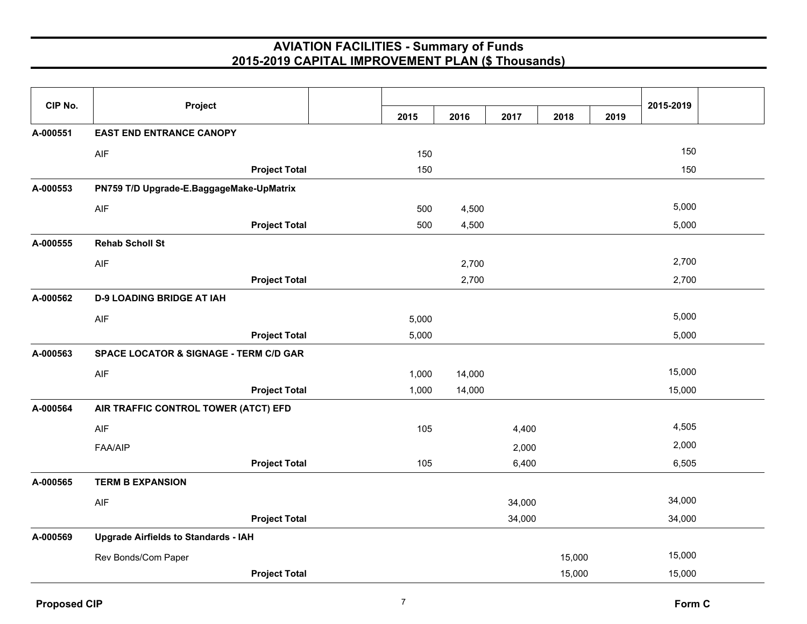| CIP No.  | Project                                           |                      |      |       |        |        |        |      | 2015-2019 |
|----------|---------------------------------------------------|----------------------|------|-------|--------|--------|--------|------|-----------|
|          |                                                   |                      | 2015 |       | 2016   | 2017   | 2018   | 2019 |           |
| A-000551 | <b>EAST END ENTRANCE CANOPY</b>                   |                      |      |       |        |        |        |      |           |
|          | AIF                                               |                      |      | 150   |        |        |        |      | 150       |
|          |                                                   | <b>Project Total</b> |      | 150   |        |        |        |      | 150       |
| A-000553 | PN759 T/D Upgrade-E.BaggageMake-UpMatrix          |                      |      |       |        |        |        |      |           |
|          | AIF                                               |                      |      | 500   | 4,500  |        |        |      | 5,000     |
|          |                                                   | <b>Project Total</b> |      | 500   | 4,500  |        |        |      | 5,000     |
| A-000555 | <b>Rehab Scholl St</b>                            |                      |      |       |        |        |        |      |           |
|          | <b>AIF</b>                                        |                      |      |       | 2,700  |        |        |      | 2,700     |
|          |                                                   | <b>Project Total</b> |      |       | 2,700  |        |        |      | 2,700     |
| A-000562 | <b>D-9 LOADING BRIDGE AT IAH</b>                  |                      |      |       |        |        |        |      |           |
|          | AIF                                               |                      |      | 5,000 |        |        |        |      | 5,000     |
|          |                                                   | <b>Project Total</b> |      | 5,000 |        |        |        |      | 5,000     |
| A-000563 | <b>SPACE LOCATOR &amp; SIGNAGE - TERM C/D GAR</b> |                      |      |       |        |        |        |      |           |
|          | AIF                                               |                      |      | 1,000 | 14,000 |        |        |      | 15,000    |
|          |                                                   | <b>Project Total</b> |      | 1,000 | 14,000 |        |        |      | 15,000    |
| A-000564 | AIR TRAFFIC CONTROL TOWER (ATCT) EFD              |                      |      |       |        |        |        |      |           |
|          | AIF                                               |                      |      | 105   |        | 4,400  |        |      | 4,505     |
|          | FAA/AIP                                           |                      |      |       |        | 2,000  |        |      | 2,000     |
|          |                                                   | <b>Project Total</b> |      | 105   |        | 6,400  |        |      | 6,505     |
| A-000565 | <b>TERM B EXPANSION</b>                           |                      |      |       |        |        |        |      |           |
|          | AIF                                               |                      |      |       |        | 34,000 |        |      | 34,000    |
|          |                                                   | <b>Project Total</b> |      |       |        | 34,000 |        |      | 34,000    |
| A-000569 | <b>Upgrade Airfields to Standards - IAH</b>       |                      |      |       |        |        |        |      |           |
|          | Rev Bonds/Com Paper                               |                      |      |       |        |        | 15,000 |      | 15,000    |
|          |                                                   | <b>Project Total</b> |      |       |        |        | 15,000 |      | 15,000    |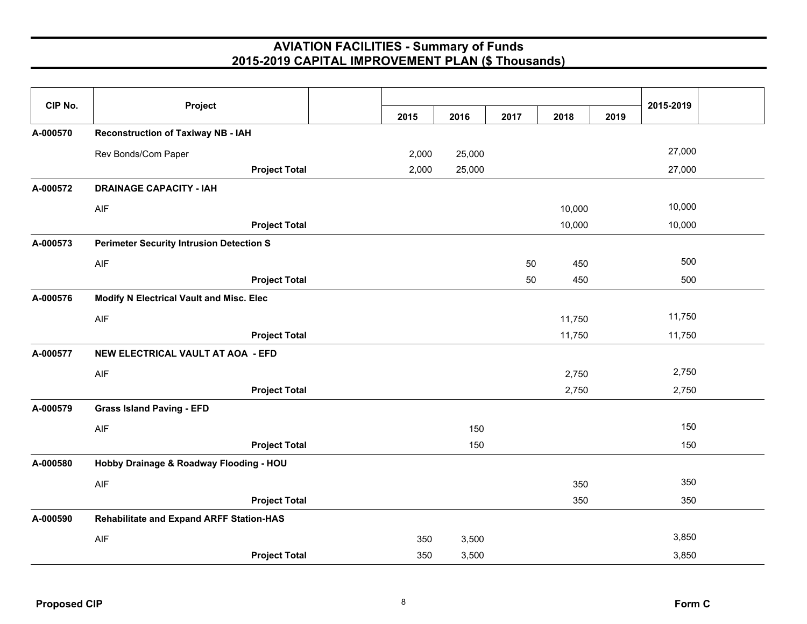| CIP No.  | Project                                         |       |        |      |           |      | 2015-2019 |  |
|----------|-------------------------------------------------|-------|--------|------|-----------|------|-----------|--|
|          |                                                 | 2015  | 2016   | 2017 | 2018      | 2019 |           |  |
| A-000570 | <b>Reconstruction of Taxiway NB - IAH</b>       |       |        |      |           |      |           |  |
|          | Rev Bonds/Com Paper                             | 2,000 | 25,000 |      |           |      | 27,000    |  |
|          | <b>Project Total</b>                            | 2,000 | 25,000 |      |           |      | 27,000    |  |
| A-000572 | <b>DRAINAGE CAPACITY - IAH</b>                  |       |        |      |           |      |           |  |
|          | AIF                                             |       |        |      | 10,000    |      | 10,000    |  |
|          | <b>Project Total</b>                            |       |        |      | 10,000    |      | 10,000    |  |
| A-000573 | <b>Perimeter Security Intrusion Detection S</b> |       |        |      |           |      |           |  |
|          | AIF                                             |       |        |      | 50<br>450 |      | 500       |  |
|          | <b>Project Total</b>                            |       |        |      | 450<br>50 |      | 500       |  |
| A-000576 | Modify N Electrical Vault and Misc. Elec        |       |        |      |           |      |           |  |
|          | AIF                                             |       |        |      | 11,750    |      | 11,750    |  |
|          | <b>Project Total</b>                            |       |        |      | 11,750    |      | 11,750    |  |
| A-000577 | NEW ELECTRICAL VAULT AT AOA - EFD               |       |        |      |           |      |           |  |
|          | AIF                                             |       |        |      | 2,750     |      | 2,750     |  |
|          | <b>Project Total</b>                            |       |        |      | 2,750     |      | 2,750     |  |
| A-000579 | <b>Grass Island Paving - EFD</b>                |       |        |      |           |      |           |  |
|          | AIF                                             |       | 150    |      |           |      | 150       |  |
|          | <b>Project Total</b>                            |       | 150    |      |           |      | 150       |  |
| A-000580 | Hobby Drainage & Roadway Flooding - HOU         |       |        |      |           |      |           |  |
|          | AIF                                             |       |        |      | 350       |      | 350       |  |
|          | <b>Project Total</b>                            |       |        |      | 350       |      | 350       |  |
| A-000590 | <b>Rehabilitate and Expand ARFF Station-HAS</b> |       |        |      |           |      |           |  |
|          | AIF                                             | 350   | 3,500  |      |           |      | 3,850     |  |
|          | <b>Project Total</b>                            | 350   | 3,500  |      |           |      | 3,850     |  |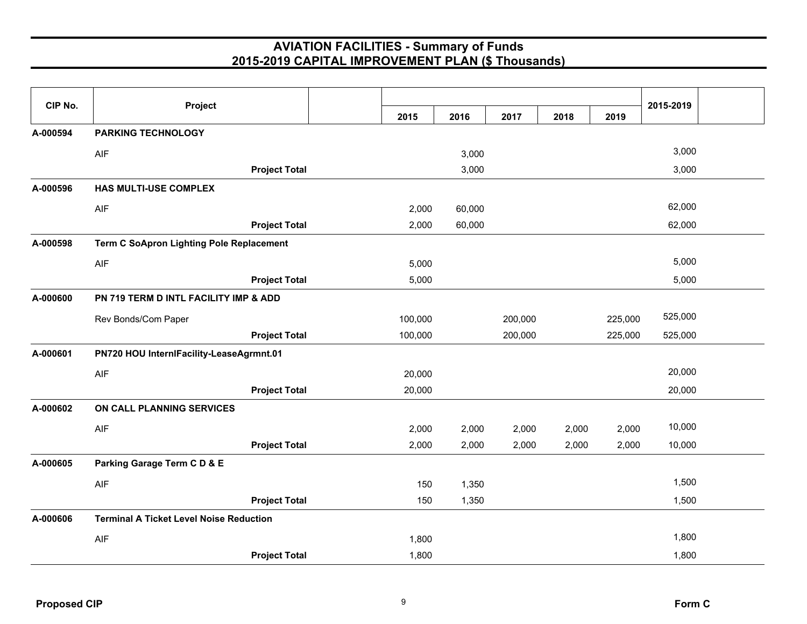| CIP No.  | Project                                         |         |        |         |       |         | 2015-2019 |  |
|----------|-------------------------------------------------|---------|--------|---------|-------|---------|-----------|--|
|          |                                                 | 2015    | 2016   | 2017    | 2018  | 2019    |           |  |
| A-000594 | <b>PARKING TECHNOLOGY</b>                       |         |        |         |       |         |           |  |
|          | AIF                                             |         | 3,000  |         |       |         | 3,000     |  |
|          | <b>Project Total</b>                            |         | 3,000  |         |       |         | 3,000     |  |
| A-000596 | HAS MULTI-USE COMPLEX                           |         |        |         |       |         |           |  |
|          | AIF                                             | 2,000   | 60,000 |         |       |         | 62,000    |  |
|          | <b>Project Total</b>                            | 2,000   | 60,000 |         |       |         | 62,000    |  |
| A-000598 | <b>Term C SoApron Lighting Pole Replacement</b> |         |        |         |       |         |           |  |
|          | AIF                                             | 5,000   |        |         |       |         | 5,000     |  |
|          | <b>Project Total</b>                            | 5,000   |        |         |       |         | 5,000     |  |
| A-000600 | PN 719 TERM D INTL FACILITY IMP & ADD           |         |        |         |       |         |           |  |
|          | Rev Bonds/Com Paper                             | 100,000 |        | 200,000 |       | 225,000 | 525,000   |  |
|          | <b>Project Total</b>                            | 100,000 |        | 200,000 |       | 225,000 | 525,000   |  |
| A-000601 | PN720 HOU InternIFacility-LeaseAgrmnt.01        |         |        |         |       |         |           |  |
|          | AIF                                             | 20,000  |        |         |       |         | 20,000    |  |
|          | <b>Project Total</b>                            | 20,000  |        |         |       |         | 20,000    |  |
| A-000602 | ON CALL PLANNING SERVICES                       |         |        |         |       |         |           |  |
|          | AIF                                             | 2,000   | 2,000  | 2,000   | 2,000 | 2,000   | 10,000    |  |
|          | <b>Project Total</b>                            | 2,000   | 2,000  | 2,000   | 2,000 | 2,000   | 10,000    |  |
| A-000605 | Parking Garage Term C D & E                     |         |        |         |       |         |           |  |
|          | AIF                                             | 150     | 1,350  |         |       |         | 1,500     |  |
|          | <b>Project Total</b>                            | 150     | 1,350  |         |       |         | 1,500     |  |
| A-000606 | <b>Terminal A Ticket Level Noise Reduction</b>  |         |        |         |       |         |           |  |
|          | AIF                                             | 1,800   |        |         |       |         | 1,800     |  |
|          | <b>Project Total</b>                            | 1,800   |        |         |       |         | 1,800     |  |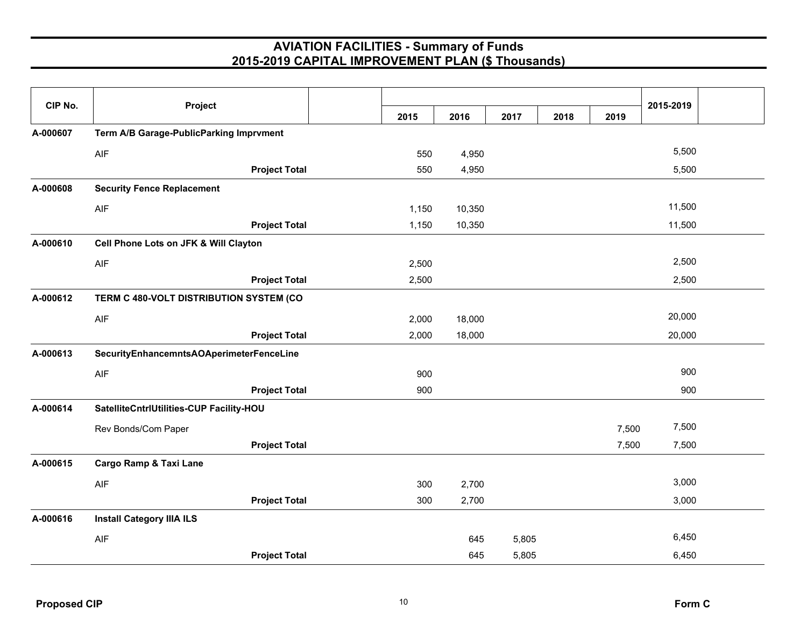| CIP No.  | Project                                  |       |        |       |      |       | 2015-2019 |  |
|----------|------------------------------------------|-------|--------|-------|------|-------|-----------|--|
|          |                                          | 2015  | 2016   | 2017  | 2018 | 2019  |           |  |
| A-000607 | Term A/B Garage-PublicParking Imprvment  |       |        |       |      |       |           |  |
|          | <b>AIF</b>                               | 550   | 4,950  |       |      |       | 5,500     |  |
|          | <b>Project Total</b>                     | 550   | 4,950  |       |      |       | 5,500     |  |
| A-000608 | <b>Security Fence Replacement</b>        |       |        |       |      |       |           |  |
|          | <b>AIF</b>                               | 1,150 | 10,350 |       |      |       | 11,500    |  |
|          | <b>Project Total</b>                     | 1,150 | 10,350 |       |      |       | 11,500    |  |
| A-000610 | Cell Phone Lots on JFK & Will Clayton    |       |        |       |      |       |           |  |
|          | AIF                                      | 2,500 |        |       |      |       | 2,500     |  |
|          | <b>Project Total</b>                     | 2,500 |        |       |      |       | 2,500     |  |
| A-000612 | TERM C 480-VOLT DISTRIBUTION SYSTEM (CO  |       |        |       |      |       |           |  |
|          | AIF                                      | 2,000 | 18,000 |       |      |       | 20,000    |  |
|          | <b>Project Total</b>                     | 2,000 | 18,000 |       |      |       | 20,000    |  |
| A-000613 | SecurityEnhancemntsAOAperimeterFenceLine |       |        |       |      |       |           |  |
|          | AIF                                      | 900   |        |       |      |       | 900       |  |
|          | <b>Project Total</b>                     | 900   |        |       |      |       | 900       |  |
| A-000614 | SatelliteCntrlUtilities-CUP Facility-HOU |       |        |       |      |       |           |  |
|          | Rev Bonds/Com Paper                      |       |        |       |      | 7,500 | 7,500     |  |
|          | <b>Project Total</b>                     |       |        |       |      | 7,500 | 7,500     |  |
| A-000615 | Cargo Ramp & Taxi Lane                   |       |        |       |      |       |           |  |
|          | AIF                                      | 300   | 2,700  |       |      |       | 3,000     |  |
|          | <b>Project Total</b>                     | 300   | 2,700  |       |      |       | 3,000     |  |
| A-000616 | <b>Install Category IIIA ILS</b>         |       |        |       |      |       |           |  |
|          | AIF                                      |       | 645    | 5,805 |      |       | 6,450     |  |
|          | <b>Project Total</b>                     |       | 645    | 5,805 |      |       | 6,450     |  |
|          |                                          |       |        |       |      |       |           |  |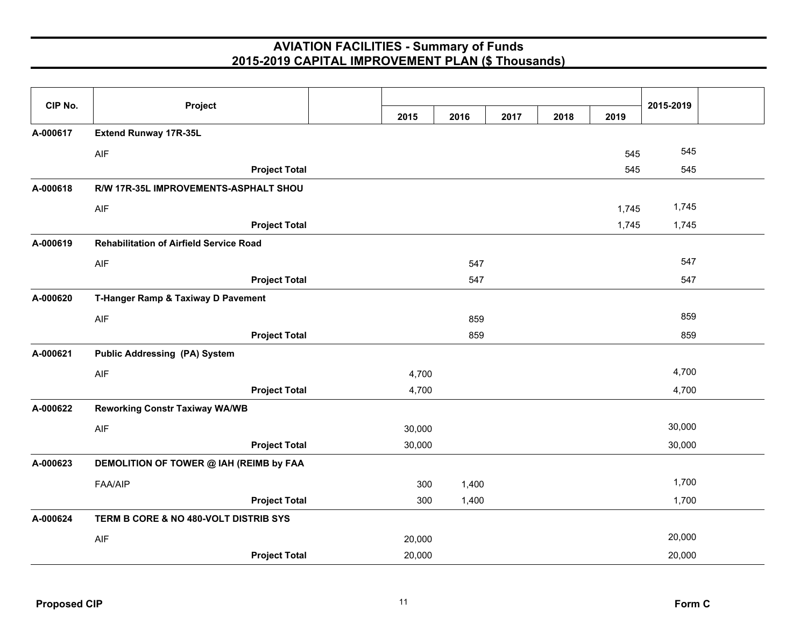| CIP No.  | Project                                        |        |       |      |      |       | 2015-2019 |  |
|----------|------------------------------------------------|--------|-------|------|------|-------|-----------|--|
|          |                                                | 2015   | 2016  | 2017 | 2018 | 2019  |           |  |
| A-000617 | <b>Extend Runway 17R-35L</b>                   |        |       |      |      |       |           |  |
|          | AIF                                            |        |       |      |      | 545   | 545       |  |
|          | <b>Project Total</b>                           |        |       |      |      | 545   | 545       |  |
| A-000618 | R/W 17R-35L IMPROVEMENTS-ASPHALT SHOU          |        |       |      |      |       |           |  |
|          | <b>AIF</b>                                     |        |       |      |      | 1,745 | 1,745     |  |
|          | <b>Project Total</b>                           |        |       |      |      | 1,745 | 1,745     |  |
| A-000619 | <b>Rehabilitation of Airfield Service Road</b> |        |       |      |      |       |           |  |
|          | AIF                                            |        | 547   |      |      |       | 547       |  |
|          | <b>Project Total</b>                           |        | 547   |      |      |       | 547       |  |
| A-000620 | T-Hanger Ramp & Taxiway D Pavement             |        |       |      |      |       |           |  |
|          | AIF                                            |        | 859   |      |      |       | 859       |  |
|          | <b>Project Total</b>                           |        | 859   |      |      |       | 859       |  |
| A-000621 | <b>Public Addressing (PA) System</b>           |        |       |      |      |       |           |  |
|          | AIF                                            | 4,700  |       |      |      |       | 4,700     |  |
|          | <b>Project Total</b>                           | 4,700  |       |      |      |       | 4,700     |  |
| A-000622 | <b>Reworking Constr Taxiway WA/WB</b>          |        |       |      |      |       |           |  |
|          | <b>AIF</b>                                     | 30,000 |       |      |      |       | 30,000    |  |
|          | <b>Project Total</b>                           | 30,000 |       |      |      |       | 30,000    |  |
| A-000623 | DEMOLITION OF TOWER @ IAH (REIMB by FAA        |        |       |      |      |       |           |  |
|          | FAA/AIP                                        | 300    | 1,400 |      |      |       | 1,700     |  |
|          | <b>Project Total</b>                           | 300    | 1,400 |      |      |       | 1,700     |  |
| A-000624 | TERM B CORE & NO 480-VOLT DISTRIB SYS          |        |       |      |      |       |           |  |
|          | AIF                                            | 20,000 |       |      |      |       | 20,000    |  |
|          | <b>Project Total</b>                           | 20,000 |       |      |      |       | 20,000    |  |